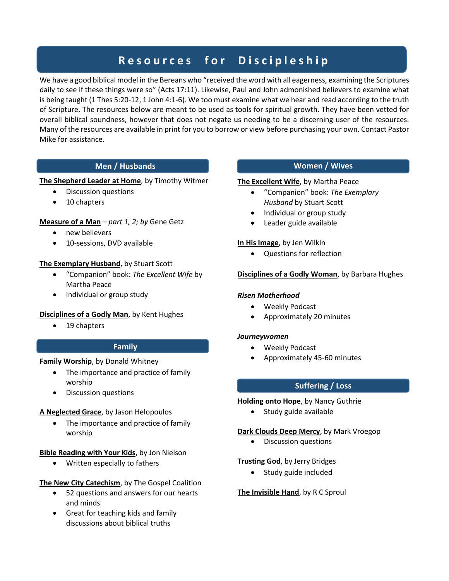# **R e s o u r c e s f o r D i s c i p l e s h i p**

We have a good biblical model in the Bereans who "received the word with all eagerness, examining the Scriptures daily to see if these things were so" (Acts 17:11). Likewise, Paul and John admonished believers to examine what is being taught (1 Thes 5:20-12, 1 John 4:1-6). We too must examine what we hear and read according to the truth of Scripture. The resources below are meant to be used as tools for spiritual growth. They have been vetted for overall biblical soundness, however that does not negate us needing to be a discerning user of the resources. Many of the resources are available in print for you to borrow or view before purchasing your own. Contact Pastor Mike for assistance.

# **Men / Husbands**

# **The Shepherd Leader at Home**, by Timothy Witmer

- Discussion questions
- 10 chapters

# **Measure of a Man** *– part 1, 2; by* Gene Getz

- new believers
- 10-sessions, DVD available

# **The Exemplary Husband**, by Stuart Scott

- "Companion" book: *The Excellent Wife* by Martha Peace
- Individual or group study

# **Disciplines of a Godly Man**, by Kent Hughes

19 chapters

# **Family**

# **Family Worship**, by Donald Whitney

- The importance and practice of family worship
- Discussion questions

# **A Neglected Grace**, by Jason Helopoulos

• The importance and practice of family worship

# **Bible Reading with Your Kids**, by Jon Nielson

Written especially to fathers

# **The New City Catechism**, by The Gospel Coalition

- 52 questions and answers for our hearts and minds
- Great for teaching kids and family discussions about biblical truths

# **Women / Wives**

## **The Excellent Wife**, by Martha Peace

- "Companion" book: *The Exemplary Husband* by Stuart Scott
- Individual or group study
- Leader guide available

# **In His Image**, by Jen Wilkin

Questions for reflection

# **Disciplines of a Godly Woman**, by Barbara Hughes

# *Risen Motherhood*

- Weekly Podcast
- Approximately 20 minutes

## *Journeywomen*

- Weekly Podcast
- Approximately 45-60 minutes

# **Suffering / Loss**

# **Holding onto Hope**, by Nancy Guthrie

• Study guide available

# **Dark Clouds Deep Mercy**, by Mark Vroegop

Discussion questions

# **Trusting God**, by Jerry Bridges

• Study guide included

# **The Invisible Hand**, by R C Sproul